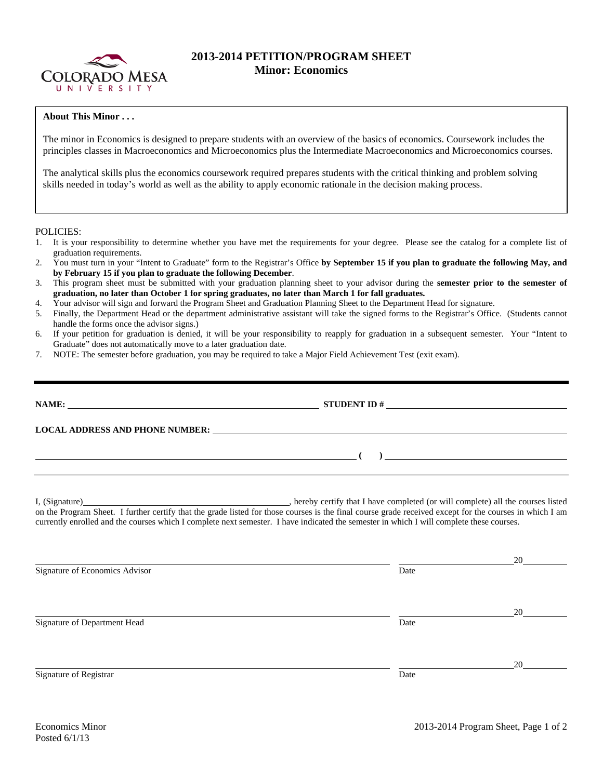

## **2013-2014 PETITION/PROGRAM SHEET Minor: Economics**

## **About This Minor . . .**

The minor in Economics is designed to prepare students with an overview of the basics of economics. Coursework includes the principles classes in Macroeconomics and Microeconomics plus the Intermediate Macroeconomics and Microeconomics courses.

The analytical skills plus the economics coursework required prepares students with the critical thinking and problem solving skills needed in today's world as well as the ability to apply economic rationale in the decision making process.

POLICIES:

- 1. It is your responsibility to determine whether you have met the requirements for your degree. Please see the catalog for a complete list of graduation requirements.
- 2. You must turn in your "Intent to Graduate" form to the Registrar's Office **by September 15 if you plan to graduate the following May, and by February 15 if you plan to graduate the following December**.
- 3. This program sheet must be submitted with your graduation planning sheet to your advisor during the **semester prior to the semester of graduation, no later than October 1 for spring graduates, no later than March 1 for fall graduates.**
- 4. Your advisor will sign and forward the Program Sheet and Graduation Planning Sheet to the Department Head for signature.
- 5. Finally, the Department Head or the department administrative assistant will take the signed forms to the Registrar's Office. (Students cannot handle the forms once the advisor signs.)
- 6. If your petition for graduation is denied, it will be your responsibility to reapply for graduation in a subsequent semester. Your "Intent to Graduate" does not automatically move to a later graduation date.
- 7. NOTE: The semester before graduation, you may be required to take a Major Field Achievement Test (exit exam).

|                                                                                                                       | STUDENT ID $#$           |  |  |  |
|-----------------------------------------------------------------------------------------------------------------------|--------------------------|--|--|--|
|                                                                                                                       |                          |  |  |  |
| <u> 1989 - Johann Harry Harry Harry Harry Harry Harry Harry Harry Harry Harry Harry Harry Harry Harry Harry Harry</u> | $\overline{\phantom{a}}$ |  |  |  |
|                                                                                                                       |                          |  |  |  |

I, (Signature) **Source 2020** (Signature) **, hereby certify that I have completed** (or will complete) all the courses listed on the Program Sheet. I further certify that the grade listed for those courses is the final course grade received except for the courses in which I am currently enrolled and the courses which I complete next semester. I have indicated the semester in which I will complete these courses.

|                                |      | 20 |
|--------------------------------|------|----|
| Signature of Economics Advisor | Date |    |
|                                |      | 20 |
| Signature of Department Head   | Date |    |
|                                |      | 20 |
| Signature of Registrar         | Date |    |